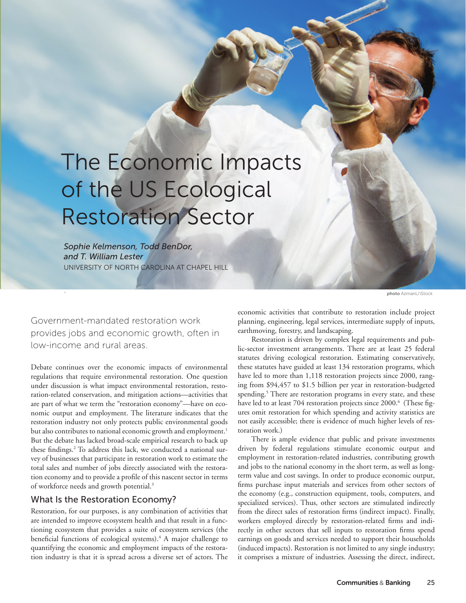# The Economic Impacts of the US Ecological Restoration Sector

*Sophie Kelmenson, Todd BenDor, and T. William Lester*  UNIVERSITY OF NORTH CAROLINA AT CHAPEL HILL

photo AzmanL/iStock

Government-mandated restoration work provides jobs and economic growth, often in low-income and rural areas.

.

Debate continues over the economic impacts of environmental regulations that require environmental restoration. One question under discussion is what impact environmental restoration, restoration-related conservation, and mitigation actions—activities that are part of what we term the "restoration economy"—have on economic output and employment. The literature indicates that the restoration industry not only protects public environmental goods but also contributes to national economic growth and employment.<sup>1</sup> But the debate has lacked broad-scale empirical research to back up these findings.2 To address this lack, we conducted a national survey of businesses that participate in restoration work to estimate the total sales and number of jobs directly associated with the restoration economy and to provide a profile of this nascent sector in terms of workforce needs and growth potential.<sup>3</sup>

### What Is the Restoration Economy?

Restoration, for our purposes, is any combination of activities that are intended to improve ecosystem health and that result in a functioning ecosystem that provides a suite of ecosystem services (the beneficial functions of ecological systems).<sup>4</sup> A major challenge to quantifying the economic and employment impacts of the restoration industry is that it is spread across a diverse set of actors. The

economic activities that contribute to restoration include project planning, engineering, legal services, intermediate supply of inputs, earthmoving, forestry, and landscaping.

Restoration is driven by complex legal requirements and public-sector investment arrangements. There are at least 25 federal statutes driving ecological restoration. Estimating conservatively, these statutes have guided at least 134 restoration programs, which have led to more than 1,118 restoration projects since 2000, ranging from \$94,457 to \$1.5 billion per year in restoration-budgeted spending.<sup>5</sup> There are restoration programs in every state, and these have led to at least 704 restoration projects since 2000.<sup>6</sup> (These figures omit restoration for which spending and activity statistics are not easily accessible; there is evidence of much higher levels of restoration work.)

There is ample evidence that public and private investments driven by federal regulations stimulate economic output and employment in restoration-related industries, contributing growth and jobs to the national economy in the short term, as well as longterm value and cost savings. In order to produce economic output, firms purchase input materials and services from other sectors of the economy (e.g., construction equipment, tools, computers, and specialized services). Thus, other sectors are stimulated indirectly from the direct sales of restoration firms (indirect impact). Finally, workers employed directly by restoration-related firms and indirectly in other sectors that sell inputs to restoration firms spend earnings on goods and services needed to support their households (induced impacts). Restoration is not limited to any single industry; it comprises a mixture of industries. Assessing the direct, indirect,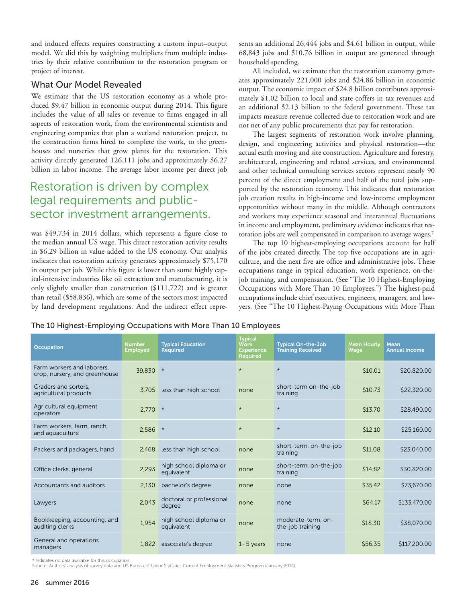and induced effects requires constructing a custom input–output model. We did this by weighting multipliers from multiple industries by their relative contribution to the restoration program or project of interest.

## What Our Model Revealed

We estimate that the US restoration economy as a whole produced \$9.47 billion in economic output during 2014. This figure includes the value of all sales or revenue to firms engaged in all aspects of restoration work, from the environmental scientists and engineering companies that plan a wetland restoration project, to the construction firms hired to complete the work, to the greenhouses and nurseries that grow plants for the restoration. This activity directly generated 126,111 jobs and approximately \$6.27 billion in labor income. The average labor income per direct job

## Restoration is driven by complex legal requirements and publicsector investment arrangements.

was \$49,734 in 2014 dollars, which represents a figure close to the median annual US wage. This direct restoration activity results in \$6.29 billion in value added to the US economy. Our analysis indicates that restoration activity generates approximately \$75,170 in output per job. While this figure is lower than some highly capital-intensive industries like oil extraction and manufacturing, it is only slightly smaller than construction (\$111,722) and is greater than retail (\$58,836), which are some of the sectors most impacted by land development regulations. And the indirect effect represents an additional 26,444 jobs and \$4.61 billion in output, while 68,843 jobs and \$10.76 billion in output are generated through household spending.

All included, we estimate that the restoration economy generates approximately 221,000 jobs and \$24.86 billion in economic output. The economic impact of \$24.8 billion contributes approximately \$1.02 billion to local and state coffers in tax revenues and an additional \$2.13 billion to the federal government. These tax impacts measure revenue collected due to restoration work and are not net of any public procurements that pay for restoration.

The largest segments of restoration work involve planning, design, and engineering activities and physical restoration—the actual earth moving and site construction. Agriculture and forestry, architectural, engineering and related services, and environmental and other technical consulting services sectors represent nearly 90 percent of the direct employment and half of the total jobs supported by the restoration economy. This indicates that restoration job creation results in high-income and low-income employment opportunities without many in the middle. Although contractors and workers may experience seasonal and interannual fluctuations in income and employment, preliminary evidence indicates that restoration jobs are well compensated in comparison to average wages.<sup>7</sup>

The top 10 highest-employing occupations account for half of the jobs created directly. The top five occupations are in agriculture, and the next five are office and administrative jobs. These occupations range in typical education, work experience, on-thejob training, and compensation. (See "The 10 Highest-Employing Occupations with More Than 10 Employees.") The highest-paid occupations include chief executives, engineers, managers, and lawyers. (See "The 10 Highest-Paying Occupations with More Than

The 10 Highest-Employing Occupations with More Than 10 Employees

| Occupation                                                  | <b>Number</b><br><b>Employed</b> | <b>Typical Education</b><br><b>Required</b> | <b>Typical</b><br><b>Work</b><br><b>Experience</b><br><b>Required</b> | <b>Typical On-the-Job</b><br><b>Training Received</b> | <b>Mean Hourly</b><br>Wage | <b>Mean</b><br><b>Annual Income</b> |
|-------------------------------------------------------------|----------------------------------|---------------------------------------------|-----------------------------------------------------------------------|-------------------------------------------------------|----------------------------|-------------------------------------|
| Farm workers and laborers.<br>crop, nursery, and greenhouse | 39.830 *                         |                                             | $\star$                                                               | $\star$                                               | \$10.01                    | \$20,820.00                         |
| Graders and sorters.<br>agricultural products               | 3.705                            | less than high school                       | none                                                                  | short-term on-the-job<br>training                     | \$10.73                    | \$22,320.00                         |
| Agricultural equipment<br>operators                         | $2.770$ *                        |                                             | $\star$                                                               | $\star$                                               | \$13.70                    | \$28,490.00                         |
| Farm workers, farm, ranch,<br>and aquaculture               | 2.586                            | $\star$                                     | $\star$                                                               | $\star$                                               | \$12.10                    | \$25,160.00                         |
| Packers and packagers, hand                                 | 2.468                            | less than high school                       | none                                                                  | short-term, on-the-job<br>training                    | \$11.08                    | \$23,040.00                         |
| Office clerks, general                                      | 2.293                            | high school diploma or<br>equivalent        | none                                                                  | short-term, on-the-job<br>training                    | \$14.82                    | \$30,820.00                         |
| Accountants and auditors                                    | 2,130                            | bachelor's degree                           | none                                                                  | none                                                  | \$35.42                    | \$73,670.00                         |
| Lawyers                                                     | 2,043                            | doctoral or professional<br>degree          | none                                                                  | none                                                  | \$64.17                    | \$133,470.00                        |
| Bookkeeping, accounting, and<br>auditing clerks             | 1,954                            | high school diploma or<br>equivalent        | none                                                                  | moderate-term, on-<br>the-job training                | \$18.30                    | \$38,070.00                         |
| General and operations<br>managers                          | 1.822                            | associate's degree                          | $1-5$ years                                                           | none                                                  | \$56.35                    | \$117,200.00                        |

\* Indicates no data available for this occupation.

Source: Authors' analysis of survey data and US Bureau of Labor Statistics Current Employment Statistics Program (January 2014).